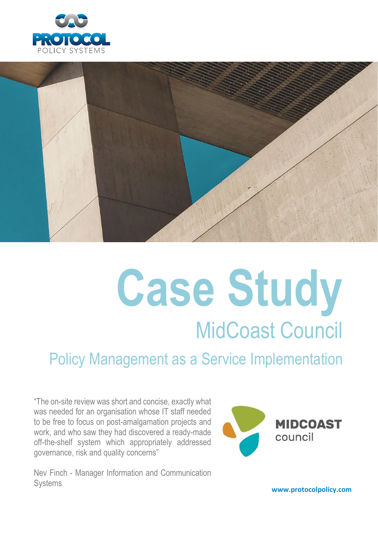



# **Case Study** MidCoast Council

Policy Management as a Service Implementation

"The on-site review was short and concise, exactly what was needed for an organisation whose IT staff needed to be free to focus on post-amalgamation projects and work, and who saw they had discovered a ready-made off-the-shelf system which appropriately addressed governance, risk and quality concerns"



Nev Finch - Manager Information and Communication Systems

**www.protocolpolicy.com**